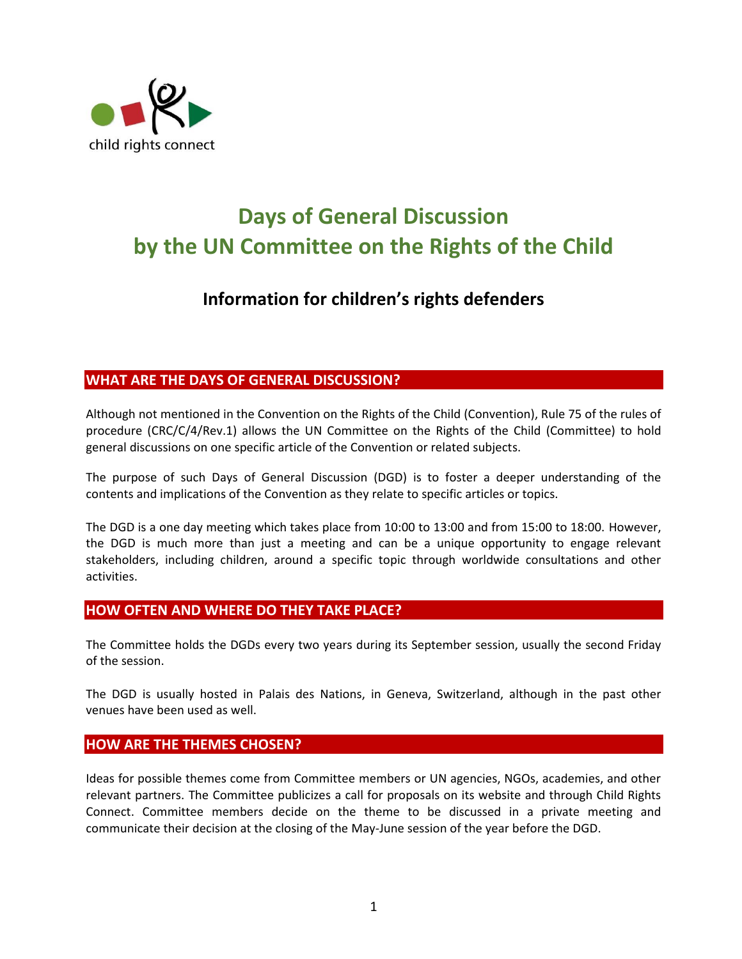

# **Days of General Discussion by the UN Committee on the Rights of the Child**

# **Information for children's rights defenders**

# **WHAT ARE THE DAYS OF GENERAL DISCUSSION?**

Although not mentioned in the Convention on the Rights of the Child (Convention), Rule 75 of the rules of procedure (CRC/C/4/Rev.1) allows the UN Committee on the Rights of the Child (Committee) to hold general discussions on one specific article of the Convention or related subjects.

The purpose of such Days of General Discussion (DGD) is to foster a deeper understanding of the contents and implications of the Convention as they relate to specific articles or topics.

The DGD is a one day meeting which takes place from 10:00 to 13:00 and from 15:00 to 18:00. However, the DGD is much more than just a meeting and can be a unique opportunity to engage relevant stakeholders, including children, around a specific topic through worldwide consultations and other activities.

# **HOW OFTEN AND WHERE DO THEY TAKE PLACE?**

The Committee holds the DGDs every two years during its September session, usually the second Friday of the session.

The DGD is usually hosted in Palais des Nations, in Geneva, Switzerland, although in the past other venues have been used as well.

# **HOW ARE THE THEMES CHOSEN?**

Ideas for possible themes come from Committee members or UN agencies, NGOs, academies, and other relevant partners. The Committee publicizes a call for proposals on its website and through Child Rights Connect. Committee members decide on the theme to be discussed in a private meeting and communicate their decision at the closing of the May-June session of the year before the DGD.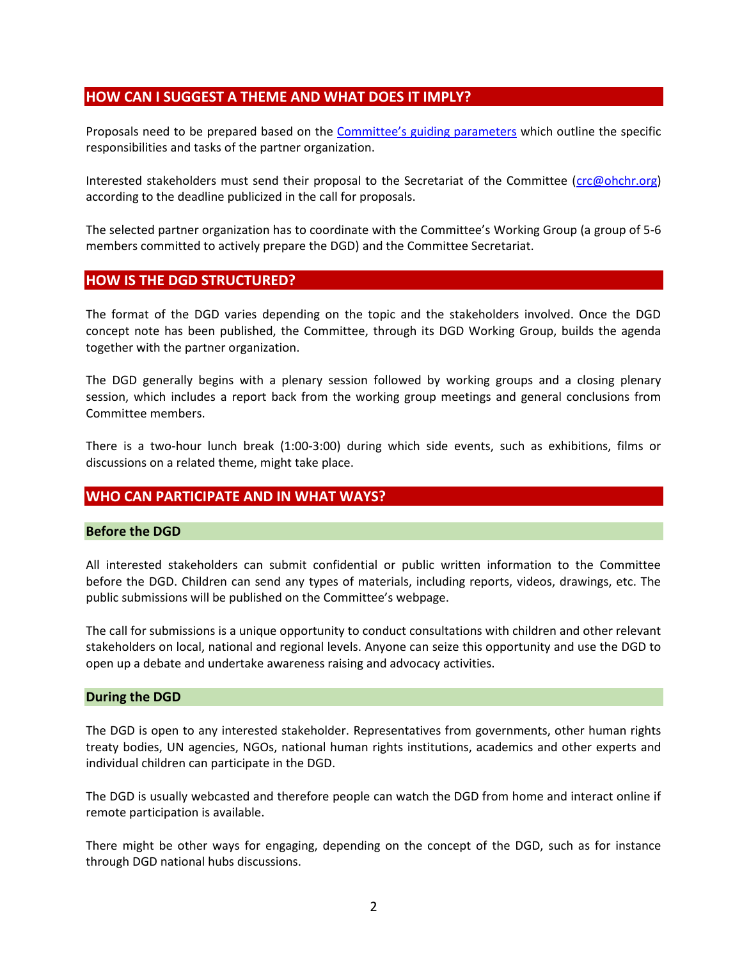# **HOW CAN I SUGGEST A THEME AND WHAT DOES IT IMPLY?**

Proposals need to be prepared based on the [Committee's guiding parameters](http://www.childrightsconnect.org/wp-content/uploads/2018/03/Guiding_Parameters_for_Proposing_CRC_DGD_Themes.doc) which outline the specific responsibilities and tasks of the partner organization.

Interested stakeholders must send their proposal to the Secretariat of the Committee [\(crc@ohchr.org\)](mailto:crc@ohchr.org) according to the deadline publicized in the call for proposals.

The selected partner organization has to coordinate with the Committee's Working Group (a group of 5-6 members committed to actively prepare the DGD) and the Committee Secretariat.

#### **HOW IS THE DGD STRUCTURED?**

The format of the DGD varies depending on the topic and the stakeholders involved. Once the DGD concept note has been published, the Committee, through its DGD Working Group, builds the agenda together with the partner organization.

The DGD generally begins with a plenary session followed by working groups and a closing plenary session, which includes a report back from the working group meetings and general conclusions from Committee members.

There is a two-hour lunch break (1:00-3:00) during which side events, such as exhibitions, films or discussions on a related theme, might take place.

# **WHO CAN PARTICIPATE AND IN WHAT WAYS?**

#### **Before the DGD**

All interested stakeholders can submit confidential or public written information to the Committee before the DGD. Children can send any types of materials, including reports, videos, drawings, etc. The public submissions will be published on the Committee's webpage.

The call for submissions is a unique opportunity to conduct consultations with children and other relevant stakeholders on local, national and regional levels. Anyone can seize this opportunity and use the DGD to open up a debate and undertake awareness raising and advocacy activities.

#### **During the DGD**

The DGD is open to any interested stakeholder. Representatives from governments, other human rights treaty bodies, UN agencies, NGOs, national human rights institutions, academics and other experts and individual children can participate in the DGD.

The DGD is usually webcasted and therefore people can watch the DGD from home and interact online if remote participation is available.

There might be other ways for engaging, depending on the concept of the DGD, such as for instance through DGD national hubs discussions.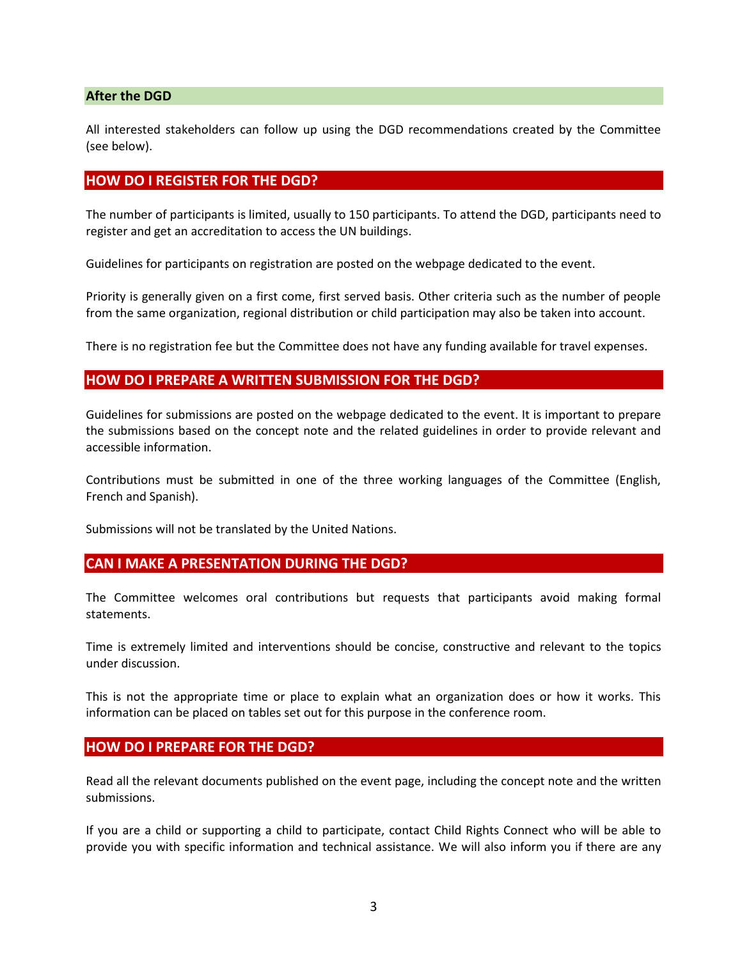#### **After the DGD**

All interested stakeholders can follow up using the DGD recommendations created by the Committee (see below).

#### **HOW DO I REGISTER FOR THE DGD?**

The number of participants is limited, usually to 150 participants. To attend the DGD, participants need to register and get an accreditation to access the UN buildings.

Guidelines for participants on registration are posted on the webpage dedicated to the event.

Priority is generally given on a first come, first served basis. Other criteria such as the number of people from the same organization, regional distribution or child participation may also be taken into account.

There is no registration fee but the Committee does not have any funding available for travel expenses.

#### **HOW DO I PREPARE A WRITTEN SUBMISSION FOR THE DGD?**

Guidelines for submissions are posted on the webpage dedicated to the event. It is important to prepare the submissions based on the concept note and the related guidelines in order to provide relevant and accessible information.

Contributions must be submitted in one of the three working languages of the Committee (English, French and Spanish).

Submissions will not be translated by the United Nations.

#### **CAN I MAKE A PRESENTATION DURING THE DGD?**

The Committee welcomes oral contributions but requests that participants avoid making formal statements.

Time is extremely limited and interventions should be concise, constructive and relevant to the topics under discussion.

This is not the appropriate time or place to explain what an organization does or how it works. This information can be placed on tables set out for this purpose in the conference room.

#### **HOW DO I PREPARE FOR THE DGD?**

Read all the relevant documents published on the event page, including the concept note and the written submissions.

If you are a child or supporting a child to participate, contact Child Rights Connect who will be able to provide you with specific information and technical assistance. We will also inform you if there are any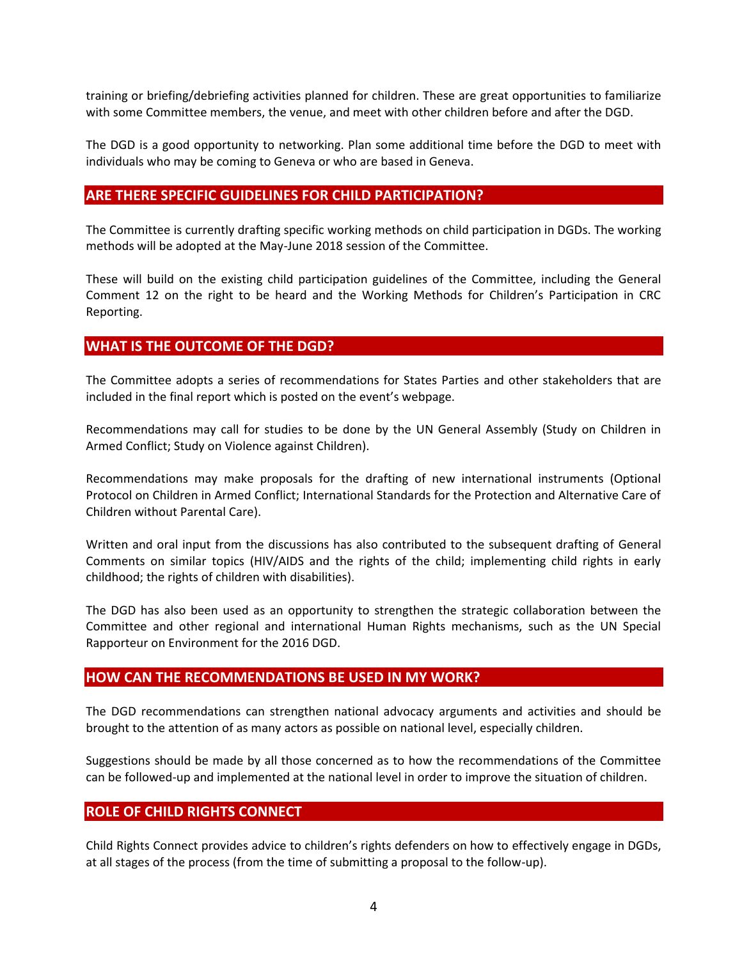training or briefing/debriefing activities planned for children. These are great opportunities to familiarize with some Committee members, the venue, and meet with other children before and after the DGD.

The DGD is a good opportunity to networking. Plan some additional time before the DGD to meet with individuals who may be coming to Geneva or who are based in Geneva.

# **ARE THERE SPECIFIC GUIDELINES FOR CHILD PARTICIPATION?**

The Committee is currently drafting specific working methods on child participation in DGDs. The working methods will be adopted at the May-June 2018 session of the Committee.

These will build on the existing child participation guidelines of the Committee, including the General Comment 12 on the right to be heard and the Working Methods for Children's Participation in CRC Reporting.

# **WHAT IS THE OUTCOME OF THE DGD?**

The Committee adopts a series of recommendations for States Parties and other stakeholders that are included in the final report which is posted on the event's webpage.

Recommendations may call for studies to be done by the UN General Assembly (Study on Children in Armed Conflict; Study on Violence against Children).

Recommendations may make proposals for the drafting of new international instruments (Optional Protocol on Children in Armed Conflict; International Standards for the Protection and Alternative Care of Children without Parental Care).

Written and oral input from the discussions has also contributed to the subsequent drafting of General Comments on similar topics (HIV/AIDS and the rights of the child; implementing child rights in early childhood; the rights of children with disabilities).

The DGD has also been used as an opportunity to strengthen the strategic collaboration between the Committee and other regional and international Human Rights mechanisms, such as the UN Special Rapporteur on Environment for the 2016 DGD.

#### **HOW CAN THE RECOMMENDATIONS BE USED IN MY WORK?**

The DGD recommendations can strengthen national advocacy arguments and activities and should be brought to the attention of as many actors as possible on national level, especially children.

Suggestions should be made by all those concerned as to how the recommendations of the Committee can be followed-up and implemented at the national level in order to improve the situation of children.

# **ROLE OF CHILD RIGHTS CONNECT**

Child Rights Connect provides advice to children's rights defenders on how to effectively engage in DGDs, at all stages of the process (from the time of submitting a proposal to the follow-up).